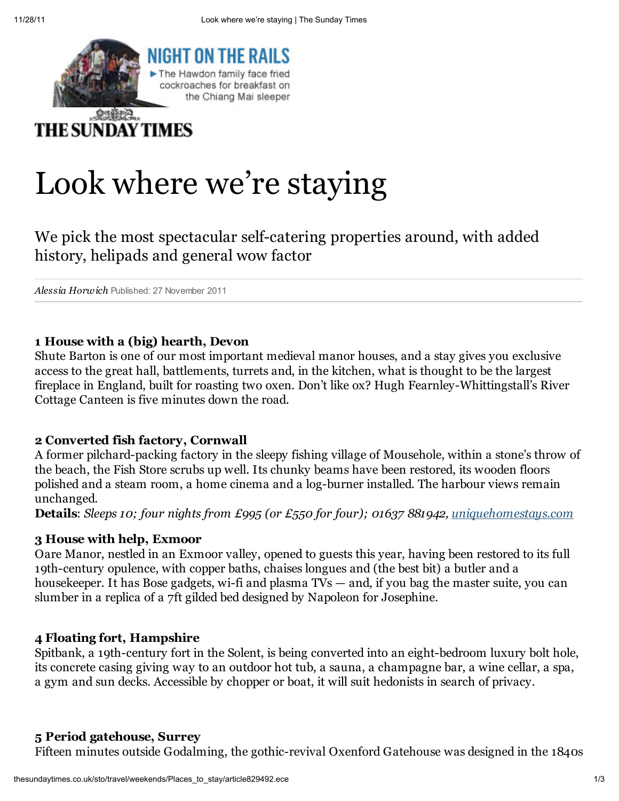

# Look where we're staying

We pick the most spectacular self-catering properties around, with added history, helipads and general wow factor

Alessia Horwich Published: 27 November 2011

### 1 House with a (big) hearth, Devon

Shute Barton is one of our most important medieval manor houses, and a stay gives you exclusive access to the great hall, battlements, turrets and, in the kitchen, what is thought to be the largest fireplace in England, built for roasting two oxen. Don't like ox? Hugh Fearnley-Whittingstall's River Cottage Canteen is five minutes down the road.

### 2 Converted fish factory, Cornwall

A former pilchard-packing factory in the sleepy fishing village of Mousehole, within a stone's throw of the beach, the Fish Store scrubs up well. Its chunky beams have been restored, its wooden floors polished and a steam room, a home cinema and a log-burner installed. The harbour views remain unchanged.

Details: *Sleeps 10; four nights from £995 (or £550 for four); 01637 881942, uniquehomestays.com* 

### 3 House with help, Exmoor

Oare Manor, nestled in an Exmoor valley, opened to guests this year, having been restored to its full 19th-century opulence, with copper baths, chaises longues and (the best bit) a butler and a housekeeper. It has Bose gadgets, wi-fi and plasma TVs — and, if you bag the master suite, you can slumber in a replica of a 7ft gilded bed designed by Napoleon for Josephine.

### 4 Floating fort, Hampshire

Spitbank, a 19th-century fort in the Solent, is being converted into an eight-bedroom luxury bolt hole, its concrete casing giving way to an outdoor hot tub, a sauna, a champagne bar, a wine cellar, a spa, a gym and sun decks. Accessible by chopper or boat, it will suit hedonists in search of privacy.

## 5 Period gatehouse, Surrey

Fifteen minutes outside Godalming, the gothic-revival Oxenford Gatehouse was designed in the 1840s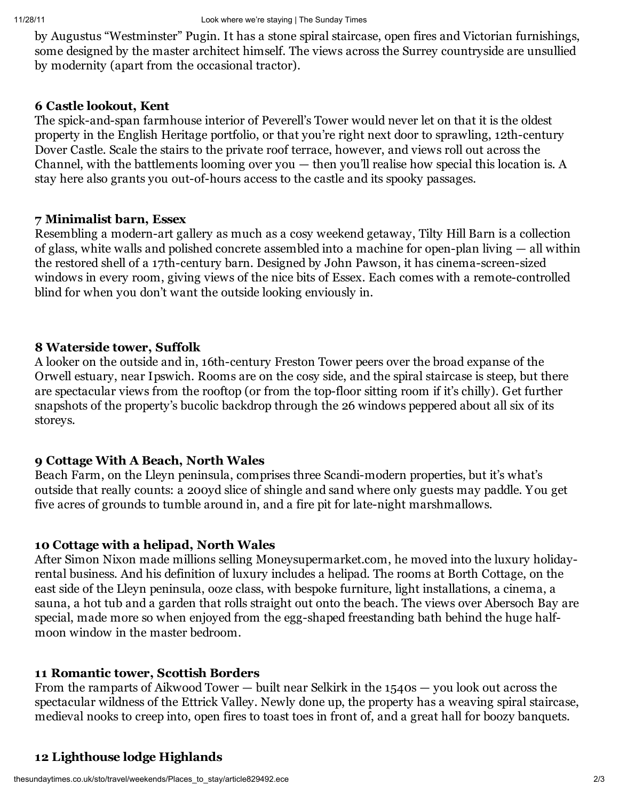by Augustus "Westminster" Pugin. It has a stone spiral staircase, open fires and Victorian furnishings, some designed by the master architect himself. The views across the Surrey countryside are unsullied by modernity (apart from the occasional tractor).

## 6 Castle lookout, Kent

The spick-and-span farmhouse interior of Peverell's Tower would never let on that it is the oldest property in the English Heritage portfolio, or that you're right next door to sprawling, 12th-century Dover Castle. Scale the stairs to the private roof terrace, however, and views roll out across the Channel, with the battlements looming over you  $-$  then you'll realise how special this location is. A stay here also grants you out-of-hours access to the castle and its spooky passages.

## 7 Minimalist barn, Essex

Resembling a modern-art gallery as much as a cosy weekend getaway, Tilty Hill Barn is a collection of glass, white walls and polished concrete assembled into a machine for open-plan living — all within the restored shell of a 17th-century barn. Designed by John Pawson, it has cinema-screen-sized windows in every room, giving views of the nice bits of Essex. Each comes with a remote-controlled blind for when you don't want the outside looking enviously in.

## 8 Waterside tower, Suffolk

A looker on the outside and in, 16th-century Freston Tower peers over the broad expanse of the Orwell estuary, near Ipswich. Rooms are on the cosy side, and the spiral staircase is steep, but there are spectacular views from the rooftop (or from the top-floor sitting room if it's chilly). Get further snapshots of the property's bucolic backdrop through the 26 windows peppered about all six of its storeys.

# 9 Cottage With A Beach, North Wales

Beach Farm, on the Lleyn peninsula, comprises three Scandi-modern properties, but it's what's outside that really counts: a 200yd slice of shingle and sand where only guests may paddle. You get five acres of grounds to tumble around in, and a fire pit for late-night marshmallows.

# 10 Cottage with a helipad, North Wales

After Simon Nixon made millions selling Moneysupermarket.com, he moved into the luxury holidayrental business. And his definition of luxury includes a helipad. The rooms at Borth Cottage, on the east side of the Lleyn peninsula, ooze class, with bespoke furniture, light installations, a cinema, a sauna, a hot tub and a garden that rolls straight out onto the beach. The views over Abersoch Bay are special, made more so when enjoyed from the egg-shaped freestanding bath behind the huge halfmoon window in the master bedroom.

# 11 Romantic tower, Scottish Borders

From the ramparts of Aikwood Tower — built near Selkirk in the 1540s — you look out across the spectacular wildness of the Ettrick Valley. Newly done up, the property has a weaving spiral staircase, medieval nooks to creep into, open fires to toast toes in front of, and a great hall for boozy banquets.

# 12 Lighthouse lodge Highlands